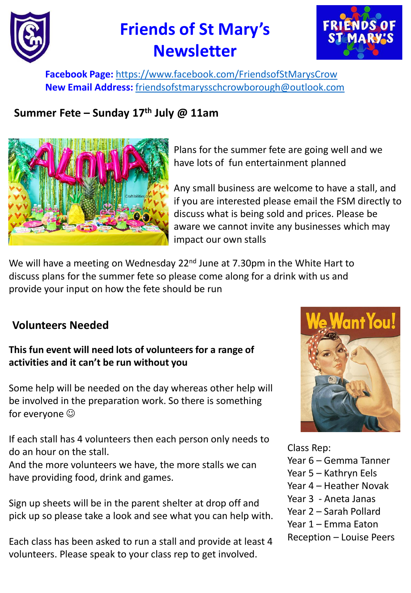

# **Friends of St Mary's Newsletter**



**Facebook Page:** <https://www.facebook.com/FriendsofStMarysCrow> **New Email Address:** [friendsofstmarysschcrowborough@outlook.com](mailto:friendsofstmarysschcrowborough@outlook.com)

# **Summer Fete – Sunday 17th July @ 11am**



Plans for the summer fete are going well and we have lots of fun entertainment planned

Any small business are welcome to have a stall, and if you are interested please email the FSM directly to discuss what is being sold and prices. Please be aware we cannot invite any businesses which may impact our own stalls

We will have a meeting on Wednesday 22<sup>nd</sup> June at 7.30pm in the White Hart to discuss plans for the summer fete so please come along for a drink with us and provide your input on how the fete should be run

## **Volunteers Needed**

### **This fun event will need lots of volunteers for a range of activities and it can't be run without you**

Some help will be needed on the day whereas other help will be involved in the preparation work. So there is something for everyone  $\odot$ 

If each stall has 4 volunteers then each person only needs to do an hour on the stall.

And the more volunteers we have, the more stalls we can have providing food, drink and games.

Sign up sheets will be in the parent shelter at drop off and pick up so please take a look and see what you can help with.

Each class has been asked to run a stall and provide at least 4 volunteers. Please speak to your class rep to get involved.



Class Rep:

- Year 6 Gemma Tanner
- Year 5 Kathryn Eels
- Year 4 Heather Novak
- Year 3 Aneta Janas
- Year 2 Sarah Pollard
- Year 1 Emma Eaton
- Reception Louise Peers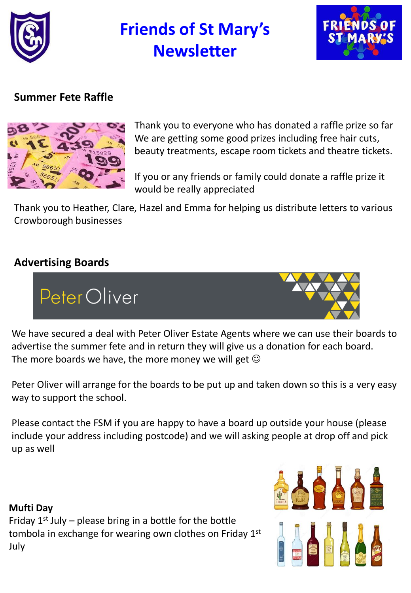

# **Friends of St Mary's Newsletter**



# **Summer Fete Raffle**



Thank you to everyone who has donated a raffle prize so far We are getting some good prizes including free hair cuts, beauty treatments, escape room tickets and theatre tickets.

If you or any friends or family could donate a raffle prize it would be really appreciated

Thank you to Heather, Clare, Hazel and Emma for helping us distribute letters to various Crowborough businesses

# **Advertising Boards**



We have secured a deal with Peter Oliver Estate Agents where we can use their boards to advertise the summer fete and in return they will give us a donation for each board. The more boards we have, the more money we will get  $\odot$ 

Peter Oliver will arrange for the boards to be put up and taken down so this is a very easy way to support the school.

Please contact the FSM if you are happy to have a board up outside your house (please include your address including postcode) and we will asking people at drop off and pick up as well

#### **Mufti Day**

Friday  $1^{st}$  July – please bring in a bottle for the bottle tombola in exchange for wearing own clothes on Friday 1st July